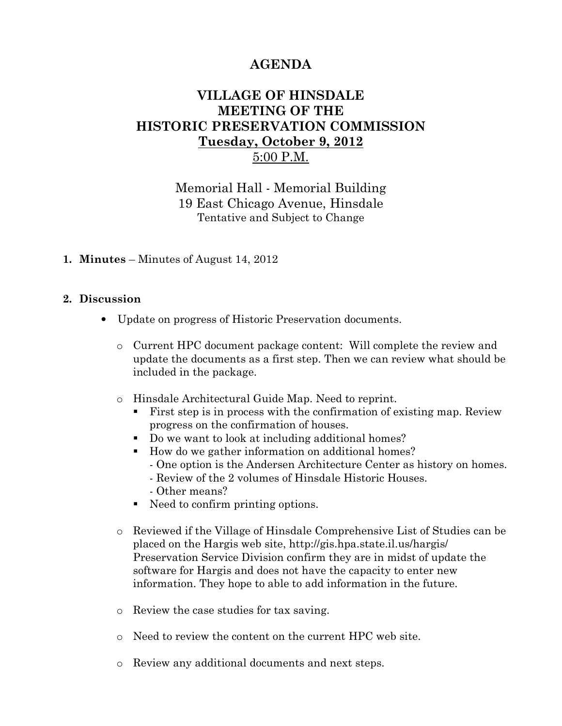# AGENDA

## VILLAGE OF HINSDALE MEETING OF THE HISTORIC PRESERVATION COMMISSION Tuesday, October 9, 2012 5:00 P.M.

Memorial Hall - Memorial Building 19 East Chicago Avenue, Hinsdale Tentative and Subject to Change

#### 1. Minutes – Minutes of August 14, 2012

#### 2. Discussion

- Update on progress of Historic Preservation documents.
	- o Current HPC document package content: Will complete the review and update the documents as a first step. Then we can review what should be included in the package.
	- o Hinsdale Architectural Guide Map. Need to reprint.
		- First step is in process with the confirmation of existing map. Review progress on the confirmation of houses.
		- Do we want to look at including additional homes?
		- How do we gather information on additional homes?
			- One option is the Andersen Architecture Center as history on homes.
			- Review of the 2 volumes of Hinsdale Historic Houses.
			- Other means?
		- Need to confirm printing options.
	- o Reviewed if the Village of Hinsdale Comprehensive List of Studies can be placed on the Hargis web site, http://gis.hpa.state.il.us/hargis/ Preservation Service Division confirm they are in midst of update the software for Hargis and does not have the capacity to enter new information. They hope to able to add information in the future.
	- o Review the case studies for tax saving.
	- o Need to review the content on the current HPC web site.
	- o Review any additional documents and next steps.